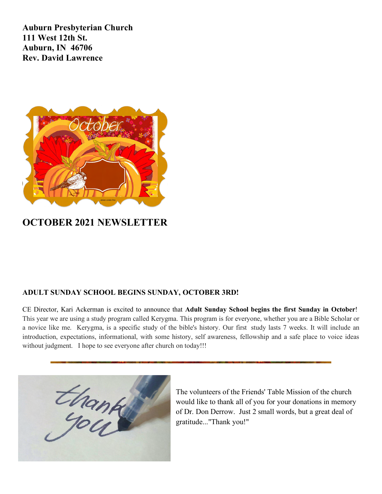**Auburn Presbyterian Church 111 West 12th St. Auburn, IN 46706 Rev. David Lawrence**



# **OCTOBER 2021 NEWSLETTER**

## **ADULT SUNDAY SCHOOL BEGINS SUNDAY, OCTOBER 3RD!**

CE Director, Kari Ackerman is excited to announce that **Adult Sunday School begins the first Sunday in October**! This year we are using a study program called Kerygma. This program is for everyone, whether you are a Bible Scholar or a novice like me. Kerygma, is a specific study of the bible's history. Our first study lasts 7 weeks. It will include an introduction, expectations, informational, with some history, self awareness, fellowship and a safe place to voice ideas without judgment. I hope to see everyone after church on today!!!



The volunteers of the Friends' Table Mission of the church would like to thank all of you for your donations in memory of Dr. Don Derrow. Just 2 small words, but a great deal of gratitude..."Thank you!"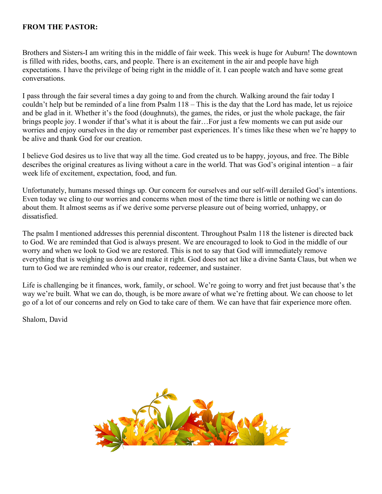### **FROM THE PASTOR:**

Brothers and Sisters-I am writing this in the middle of fair week. This week is huge for Auburn! The downtown is filled with rides, booths, cars, and people. There is an excitement in the air and people have high expectations. I have the privilege of being right in the middle of it. I can people watch and have some great conversations.

I pass through the fair several times a day going to and from the church. Walking around the fair today I couldn't help but be reminded of a line from Psalm 118 – This is the day that the Lord has made, let us rejoice and be glad in it. Whether it's the food (doughnuts), the games, the rides, or just the whole package, the fair brings people joy. I wonder if that's what it is about the fair…For just a few moments we can put aside our worries and enjoy ourselves in the day or remember past experiences. It's times like these when we're happy to be alive and thank God for our creation.

I believe God desires us to live that way all the time. God created us to be happy, joyous, and free. The Bible describes the original creatures as living without a care in the world. That was God's original intention – a fair week life of excitement, expectation, food, and fun.

Unfortunately, humans messed things up. Our concern for ourselves and our self-will derailed God's intentions. Even today we cling to our worries and concerns when most of the time there is little or nothing we can do about them. It almost seems as if we derive some perverse pleasure out of being worried, unhappy, or dissatisfied.

The psalm I mentioned addresses this perennial discontent. Throughout Psalm 118 the listener is directed back to God. We are reminded that God is always present. We are encouraged to look to God in the middle of our worry and when we look to God we are restored. This is not to say that God will immediately remove everything that is weighing us down and make it right. God does not act like a divine Santa Claus, but when we turn to God we are reminded who is our creator, redeemer, and sustainer.

Life is challenging be it finances, work, family, or school. We're going to worry and fret just because that's the way we're built. What we can do, though, is be more aware of what we're fretting about. We can choose to let go of a lot of our concerns and rely on God to take care of them. We can have that fair experience more often.

Shalom, David

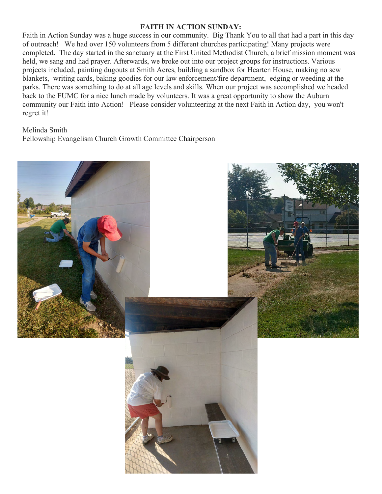#### **FAITH IN ACTION SUNDAY:**

Faith in Action Sunday was a huge success in our community. Big Thank You to all that had a part in this day of outreach! We had over 150 volunteers from 5 different churches participating! Many projects were completed. The day started in the sanctuary at the First United Methodist Church, a brief mission moment was held, we sang and had prayer. Afterwards, we broke out into our project groups for instructions. Various projects included, painting dugouts at Smith Acres, building a sandbox for Hearten House, making no sew blankets, writing cards, baking goodies for our law enforcement/fire department, edging or weeding at the parks. There was something to do at all age levels and skills. When our project was accomplished we headed back to the FUMC for a nice lunch made by volunteers. It was a great opportunity to show the Auburn community our Faith into Action! Please consider volunteering at the next Faith in Action day, you won't regret it!

#### Melinda Smith

Fellowship Evangelism Church Growth Committee Chairperson